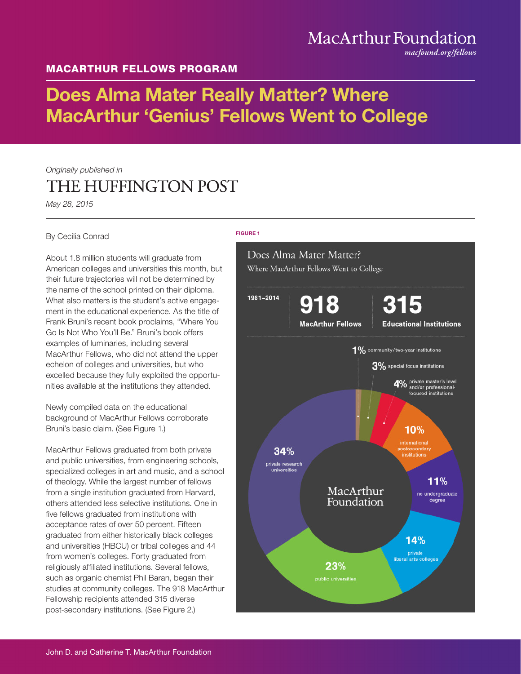## MacArthur Foundation

*macfound.org/fellows*

### MACARTHUR FELLOWS PROGRAM

# Does Alma Mater Really Matter? Where MacArthur 'Genius' Fellows Went to College

## *Originally published in* THE HUFFINGTON POST

*May 28, 2015*

### By Cecilia Conrad

About 1.8 million students will graduate from American colleges and universities this month, but their future trajectories will not be determined by the name of the school printed on their diploma. What also matters is the student's active engagement in the educational experience. As the title of Frank Bruni's recent book proclaims, "Where You Go Is Not Who You'll Be." Bruni's book offers examples of luminaries, including several MacArthur Fellows, who did not attend the upper echelon of colleges and universities, but who excelled because they fully exploited the opportunities available at the institutions they attended.

Newly compiled data on the educational background of MacArthur Fellows corroborate Bruni's basic claim. (See Figure 1.)

MacArthur Fellows graduated from both private and public universities, from engineering schools, specialized colleges in art and music, and a school of theology. While the largest number of fellows from a single institution graduated from Harvard, others attended less selective institutions. One in five fellows graduated from institutions with acceptance rates of over 50 percent. Fifteen graduated from either historically black colleges and universities (HBCU) or tribal colleges and 44 from women's colleges. Forty graduated from religiously affiliated institutions. Several fellows, such as organic chemist Phil Baran, began their studies at community colleges. The 918 MacArthur Fellowship recipients attended 315 diverse post-secondary institutions. (See Figure 2.)

#### FIGURE 1

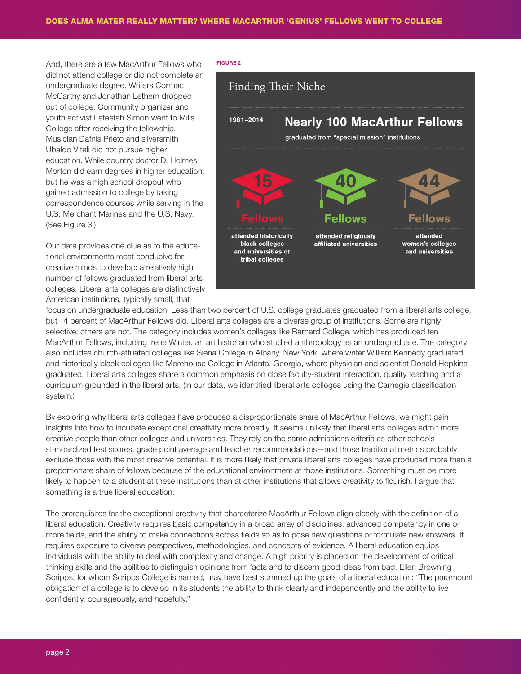And, there are a few MacArthur Fellows who did not attend college or did not complete an undergraduate degree. Writers Cormac McCarthy and Jonathan Lethem dropped out of college. Community organizer and youth activist Lateefah Simon went to Mills College after receiving the fellowship. Musician Dafnis Prieto and silversmith Ubaldo Vitali did not pursue higher education. While country doctor D. Holmes Morton did earn degrees in higher education, but he was a high school dropout who gained admission to college by taking correspondence courses while serving in the U.S. Merchant Marines and the U.S. Navy. (See Figure 3.)

Our data provides one clue as to the educational environments most conducive for creative minds to develop: a relatively high number of fellows graduated from liberal arts colleges. Liberal arts colleges are distinctively American institutions, typically small, that

#### FIGURE 2



focus on undergraduate education. Less than two percent of U.S. college graduates graduated from a liberal arts college, but 14 percent of MacArthur Fellows did. Liberal arts colleges are a diverse group of institutions. Some are highly selective; others are not. The category includes women's colleges like Barnard College, which has produced ten MacArthur Fellows, including Irene Winter, an art historian who studied anthropology as an undergraduate. The category also includes church-affiliated colleges like Siena College in Albany, New York, where writer William Kennedy graduated, and historically black colleges like Morehouse College in Atlanta, Georgia, where physician and scientist Donald Hopkins graduated. Liberal arts colleges share a common emphasis on close faculty-student interaction, quality teaching and a curriculum grounded in the liberal arts. (In our data, we identified liberal arts colleges using the Carnegie classification system.)

By exploring why liberal arts colleges have produced a disproportionate share of MacArthur Fellows, we might gain insights into how to incubate exceptional creativity more broadly. It seems unlikely that liberal arts colleges admit more creative people than other colleges and universities. They rely on the same admissions criteria as other schools standardized test scores, grade point average and teacher recommendations—and those traditional metrics probably exclude those with the most creative potential. It is more likely that private liberal arts colleges have produced more than a proportionate share of fellows because of the educational environment at those institutions. Something must be more likely to happen to a student at these institutions than at other institutions that allows creativity to flourish. I argue that something is a true liberal education.

The prerequisites for the exceptional creativity that characterize MacArthur Fellows align closely with the definition of a liberal education. Creativity requires basic competency in a broad array of disciplines, advanced competency in one or more fields, and the ability to make connections across fields so as to pose new questions or formulate new answers. It requires exposure to diverse perspectives, methodologies, and concepts of evidence. A liberal education equips individuals with the ability to deal with complexity and change. A high priority is placed on the development of critical thinking skills and the abilities to distinguish opinions from facts and to discern good ideas from bad. Ellen Browning Scripps, for whom Scripps College is named, may have best summed up the goals of a liberal education: "The paramount obligation of a college is to develop in its students the ability to think clearly and independently and the ability to live confidently, courageously, and hopefully."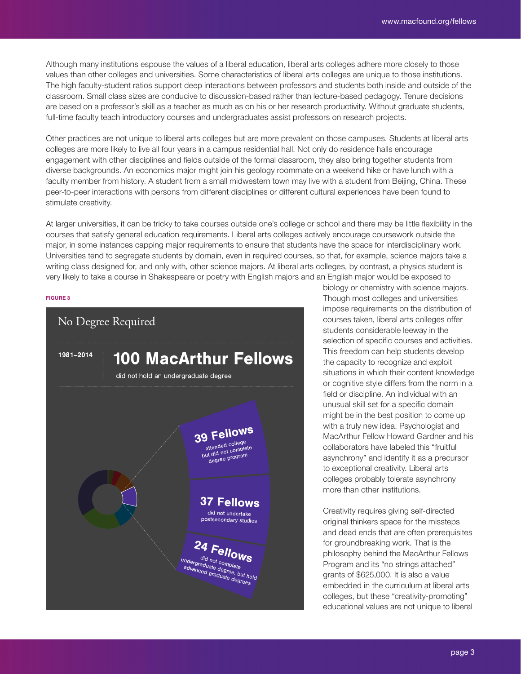Although many institutions espouse the values of a liberal education, liberal arts colleges adhere more closely to those values than other colleges and universities. Some characteristics of liberal arts colleges are unique to those institutions. The high faculty-student ratios support deep interactions between professors and students both inside and outside of the classroom. Small class sizes are conducive to discussion-based rather than lecture-based pedagogy. Tenure decisions are based on a professor's skill as a teacher as much as on his or her research productivity. Without graduate students, full-time faculty teach introductory courses and undergraduates assist professors on research projects.

Other practices are not unique to liberal arts colleges but are more prevalent on those campuses. Students at liberal arts colleges are more likely to live all four years in a campus residential hall. Not only do residence halls encourage engagement with other disciplines and fields outside of the formal classroom, they also bring together students from diverse backgrounds. An economics major might join his geology roommate on a weekend hike or have lunch with a faculty member from history. A student from a small midwestern town may live with a student from Beijing, China. These peer-to-peer interactions with persons from different disciplines or different cultural experiences have been found to stimulate creativity.

At larger universities, it can be tricky to take courses outside one's college or school and there may be little flexibility in the courses that satisfy general education requirements. Liberal arts colleges actively encourage coursework outside the major, in some instances capping major requirements to ensure that students have the space for interdisciplinary work. Universities tend to segregate students by domain, even in required courses, so that, for example, science majors take a writing class designed for, and only with, other science majors. At liberal arts colleges, by contrast, a physics student is very likely to take a course in Shakespeare or poetry with English majors and an English major would be exposed to

#### FIGURE 3



biology or chemistry with science majors. Though most colleges and universities impose requirements on the distribution of courses taken, liberal arts colleges offer students considerable leeway in the selection of specific courses and activities. This freedom can help students develop the capacity to recognize and exploit situations in which their content knowledge or cognitive style differs from the norm in a field or discipline. An individual with an unusual skill set for a specific domain might be in the best position to come up with a truly new idea. Psychologist and MacArthur Fellow Howard Gardner and his collaborators have labeled this "fruitful asynchrony" and identify it as a precursor to exceptional creativity. Liberal arts colleges probably tolerate asynchrony more than other institutions.

Creativity requires giving self-directed original thinkers space for the missteps and dead ends that are often prerequisites for groundbreaking work. That is the philosophy behind the MacArthur Fellows Program and its "no strings attached" grants of \$625,000. It is also a value embedded in the curriculum at liberal arts colleges, but these "creativity-promoting" educational values are not unique to liberal